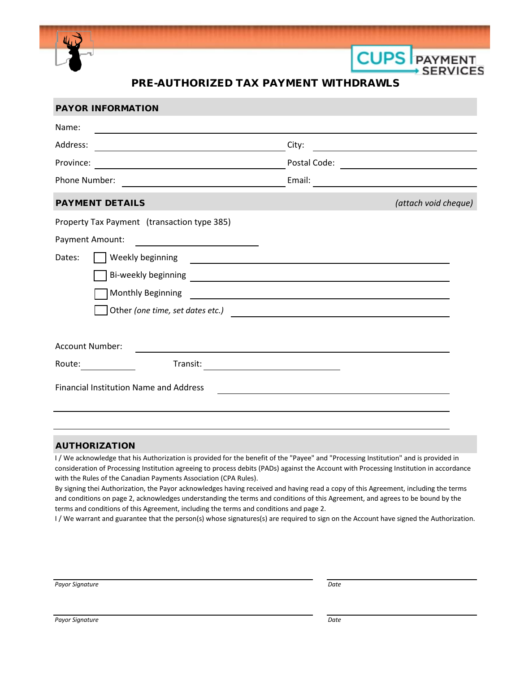

## PRE-AUTHORIZED TAX PAYMENT WITHDRAWLS

**CUPS** PAYMENT

**SERVICES** 

| <b>PAYOR INFORMATION</b>                                                                                                              |                                                                                                                       |                                                                                                                       |                                                                                                                      |
|---------------------------------------------------------------------------------------------------------------------------------------|-----------------------------------------------------------------------------------------------------------------------|-----------------------------------------------------------------------------------------------------------------------|----------------------------------------------------------------------------------------------------------------------|
| Name:                                                                                                                                 |                                                                                                                       |                                                                                                                       |                                                                                                                      |
| Address:                                                                                                                              |                                                                                                                       | City:                                                                                                                 |                                                                                                                      |
| Province:<br><u> 1980 - Johann Barn, mars an t-Amerikaansk ferhandsk foarmen (* 1918)</u>                                             |                                                                                                                       | Postal Code:                                                                                                          | <u> 1989 - Andrea Station Books, amerikansk politik (</u>                                                            |
| Phone Number:<br><u> 1980 - Jan Stein Stein Stein Stein Stein Stein Stein Stein Stein Stein Stein Stein Stein Stein Stein Stein S</u> |                                                                                                                       | Email:                                                                                                                | <u> 1980 - Jan Stein Stein Stein Stein Stein Stein Stein Stein Stein Stein Stein Stein Stein Stein Stein Stein S</u> |
| <b>PAYMENT DETAILS</b>                                                                                                                |                                                                                                                       |                                                                                                                       | (attach void cheque)                                                                                                 |
| Property Tax Payment (transaction type 385)                                                                                           |                                                                                                                       |                                                                                                                       |                                                                                                                      |
| Payment Amount:                                                                                                                       | <u> 1989 - Jan Stein Harry Stein Harry Stein Harry Stein Harry Stein Harry Stein Harry Stein Harry Stein Harry St</u> |                                                                                                                       |                                                                                                                      |
| Dates:                                                                                                                                | Weekly beginning                                                                                                      |                                                                                                                       |                                                                                                                      |
|                                                                                                                                       |                                                                                                                       |                                                                                                                       |                                                                                                                      |
|                                                                                                                                       | Monthly Beginning                                                                                                     | <u> 1980 - Johann Barbara, martxa alemaniar a</u>                                                                     |                                                                                                                      |
| Other (one time, set dates etc.)                                                                                                      |                                                                                                                       |                                                                                                                       |                                                                                                                      |
|                                                                                                                                       |                                                                                                                       |                                                                                                                       |                                                                                                                      |
| Account Number:                                                                                                                       |                                                                                                                       |                                                                                                                       |                                                                                                                      |
| Route:                                                                                                                                | Transit:                                                                                                              | <u> 1989 - Johann Johann Stoff, deutscher Stoffen und der Stoffen und der Stoffen und der Stoffen und der Stoffen</u> |                                                                                                                      |
|                                                                                                                                       | <b>Financial Institution Name and Address</b>                                                                         |                                                                                                                       |                                                                                                                      |
|                                                                                                                                       |                                                                                                                       |                                                                                                                       |                                                                                                                      |

## AUTHORIZATION

I / We acknowledge that his Authorization is provided for the benefit of the "Payee" and "Processing Institution" and is provided in consideration of Processing Institution agreeing to process debits (PADs) against the Account with Processing Institution in accordance with the Rules of the Canadian Payments Association (CPA Rules).

By signing thei Authorization, the Payor acknowledges having received and having read a copy of this Agreement, including the terms and conditions on page 2, acknowledges understanding the terms and conditions of this Agreement, and agrees to be bound by the terms and conditions of this Agreement, including the terms and conditions and page 2.

I / We warrant and guarantee that the person(s) whose signatures(s) are required to sign on the Account have signed the Authorization.

*Payor Signature Date*